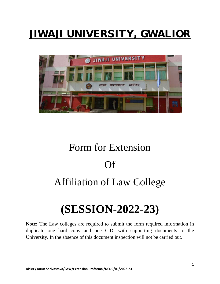# JIWAJI UNIVERSITY, GWALIOR



# Form for Extension Of Affiliation of Law College

# **(SESSION-2022-23)**

**Note:** The Law colleges are required to submit the form required information in duplicate one hard copy and one C.D. with supporting documents to the University. In the absence of this document inspection will not be carried out.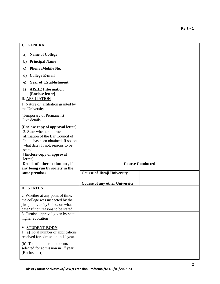| I. GENERAL                                                                             |                                       |  |
|----------------------------------------------------------------------------------------|---------------------------------------|--|
| <b>Name of College</b><br>a)                                                           |                                       |  |
| <b>Principal Name</b><br>$\mathbf{b}$                                                  |                                       |  |
| <b>Phone /Mobile No.</b><br>$\bf c)$                                                   |                                       |  |
| <b>College E-mail</b><br>d)                                                            |                                       |  |
| <b>Year of Establishment</b><br>e)                                                     |                                       |  |
| <b>AISHE Information</b><br>f<br>[Enclose letter]                                      |                                       |  |
| <b>II. AFFILIATION</b>                                                                 |                                       |  |
| 1. Nature of affiliation granted by<br>the University                                  |                                       |  |
| (Temporary of Permanent)<br>Give details.                                              |                                       |  |
| [Enclose copy of approval letter]                                                      |                                       |  |
| 2. State whether approval of<br>affiliation of the Bar Council of                      |                                       |  |
| India has been obtained. If so, on                                                     |                                       |  |
| what date? If not, reasons to be                                                       |                                       |  |
| stated.                                                                                |                                       |  |
| [Enclose copy of approval<br>letter]                                                   |                                       |  |
| Details of other institutions, if                                                      | <b>Course Conducted</b>               |  |
| any being run by society in the                                                        |                                       |  |
| same premises                                                                          | <b>Course of Jiwaji University</b>    |  |
|                                                                                        | <b>Course of any other University</b> |  |
| <b>III. STATUS</b>                                                                     |                                       |  |
| 2. Whether at any point of time,                                                       |                                       |  |
| the college was inspected by the                                                       |                                       |  |
| jiwaji university? If so, on what                                                      |                                       |  |
|                                                                                        |                                       |  |
| date? If not, reasons to be stated.                                                    |                                       |  |
| 3. Furnish approval given by state<br>higher education                                 |                                       |  |
| V. STUDENT BODY                                                                        |                                       |  |
| 1. (a) Total number of applications<br>received for admission in 1 <sup>st</sup> year. |                                       |  |
|                                                                                        |                                       |  |
| (b) Total number of students<br>selected for admission in 1 <sup>st</sup> year.        |                                       |  |
| [Enclose list]                                                                         |                                       |  |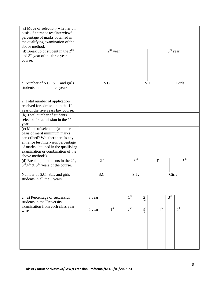| (c) Mode of selection (whether on<br>basis of entrance test/interview/<br>percentage of marks obtained in<br>the qualifying examination of the<br>above method. |                 |                 |  |                 |                 |                      |       |                 |                 |                 |                 |  |
|-----------------------------------------------------------------------------------------------------------------------------------------------------------------|-----------------|-----------------|--|-----------------|-----------------|----------------------|-------|-----------------|-----------------|-----------------|-----------------|--|
| (d) Break up of student in the $2nd$                                                                                                                            |                 | $2nd$ year      |  |                 |                 |                      |       |                 | $3rd$ year      |                 |                 |  |
| and $3rd$ year of the three year                                                                                                                                |                 |                 |  |                 |                 |                      |       |                 |                 |                 |                 |  |
| course.                                                                                                                                                         |                 |                 |  |                 |                 |                      |       |                 |                 |                 |                 |  |
|                                                                                                                                                                 |                 |                 |  |                 |                 |                      |       |                 |                 |                 |                 |  |
| d. Number of S.C., S.T. and girls                                                                                                                               |                 | S.C.            |  |                 |                 |                      | S.T.  |                 |                 | Girls           |                 |  |
| students in all the three years                                                                                                                                 |                 |                 |  |                 |                 |                      |       |                 |                 |                 |                 |  |
|                                                                                                                                                                 |                 |                 |  |                 |                 |                      |       |                 |                 |                 |                 |  |
| 2. Total number of application                                                                                                                                  |                 |                 |  |                 |                 |                      |       |                 |                 |                 |                 |  |
| received for admission in the 1 <sup>st</sup>                                                                                                                   |                 |                 |  |                 |                 |                      |       |                 |                 |                 |                 |  |
| year of the five years law course.<br>(b) Total number of students                                                                                              |                 |                 |  |                 |                 |                      |       |                 |                 |                 |                 |  |
| selected for admission in the 1 <sup>st</sup>                                                                                                                   |                 |                 |  |                 |                 |                      |       |                 |                 |                 |                 |  |
| year.                                                                                                                                                           |                 |                 |  |                 |                 |                      |       |                 |                 |                 |                 |  |
| (c) Mode of selection (whether on                                                                                                                               |                 |                 |  |                 |                 |                      |       |                 |                 |                 |                 |  |
| basis of merit minimum marks<br>prescribed? Whether there is any                                                                                                |                 |                 |  |                 |                 |                      |       |                 |                 |                 |                 |  |
| entrance test/interview/percentage                                                                                                                              |                 |                 |  |                 |                 |                      |       |                 |                 |                 |                 |  |
| of marks obtained in the qualifying                                                                                                                             |                 |                 |  |                 |                 |                      |       |                 |                 |                 |                 |  |
| examination or combination of the<br>above methods)                                                                                                             |                 |                 |  |                 |                 |                      |       |                 |                 |                 |                 |  |
| (d) Break up of students in the $2^{nd}$ ,                                                                                                                      | 2 <sup>nd</sup> |                 |  |                 | 3 <sup>rd</sup> |                      |       | 4 <sup>th</sup> |                 |                 | 5 <sup>th</sup> |  |
| $3^{\text{rd}}$ , 4 <sup>th</sup> & 5 <sup>th</sup> years of the course.                                                                                        |                 |                 |  |                 |                 |                      |       |                 |                 |                 |                 |  |
|                                                                                                                                                                 |                 |                 |  |                 |                 |                      |       |                 |                 |                 |                 |  |
| Number of S.C., S.T. and girls<br>students in all the 5 years.                                                                                                  | S.C.            |                 |  | S.T.            |                 |                      | Girls |                 |                 |                 |                 |  |
|                                                                                                                                                                 |                 |                 |  |                 |                 |                      |       |                 |                 |                 |                 |  |
|                                                                                                                                                                 |                 |                 |  |                 |                 |                      |       |                 |                 |                 |                 |  |
|                                                                                                                                                                 |                 |                 |  | 1 <sup>st</sup> |                 |                      |       |                 | 3 <sup>rd</sup> |                 |                 |  |
| 2. (a) Percentage of successful<br>students in the University                                                                                                   | 3 year          |                 |  |                 |                 | $\overline{2}$<br>nd |       |                 |                 |                 |                 |  |
| examination from each class year                                                                                                                                |                 |                 |  |                 |                 |                      |       |                 |                 |                 |                 |  |
| wise.                                                                                                                                                           | 5 year          | 1 <sup>st</sup> |  | 2 <sup>nd</sup> |                 | $3^r$<br>d           |       | 4 <sup>th</sup> |                 | 5 <sup>th</sup> |                 |  |
|                                                                                                                                                                 |                 |                 |  |                 |                 |                      |       |                 |                 |                 |                 |  |
|                                                                                                                                                                 |                 |                 |  |                 |                 |                      |       |                 |                 |                 |                 |  |
|                                                                                                                                                                 |                 |                 |  |                 |                 |                      |       |                 |                 |                 |                 |  |
|                                                                                                                                                                 |                 |                 |  |                 |                 |                      |       |                 |                 |                 |                 |  |
|                                                                                                                                                                 |                 |                 |  |                 |                 |                      |       |                 |                 |                 |                 |  |
|                                                                                                                                                                 |                 |                 |  |                 |                 |                      |       |                 |                 |                 |                 |  |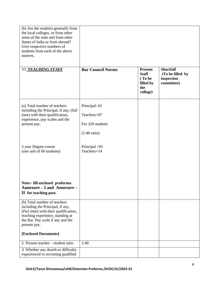| (b) Are the students generally from<br>the local colleges, or from other<br>areas of the state and from other<br>States of India or from abroad?<br>Give respective numbers of<br>students from each of the above<br>sources. |                                                                           |                                                                          |                                                                  |
|-------------------------------------------------------------------------------------------------------------------------------------------------------------------------------------------------------------------------------|---------------------------------------------------------------------------|--------------------------------------------------------------------------|------------------------------------------------------------------|
| VI. TEACHING STAFF                                                                                                                                                                                                            | <b>Bar Council Norms</b>                                                  | <b>Present</b><br><b>Staff</b><br>(To be<br>filled by<br>the<br>college) | <b>Shortfall</b><br>(To be filled by<br>inspection<br>committee) |
| (a) Total number of teachers<br>including the Principal, if any, (full<br>time) with their qualification,<br>experience, pay scales and the<br>present pay.                                                                   | Principal-01<br>Teachers=07<br>For 320 students<br>$(1:40 \text{ ratio})$ |                                                                          |                                                                  |
| 5 year Degree course<br>(one unit of 60 students)                                                                                                                                                                             | Principal $=01$<br>Teachers=14                                            |                                                                          |                                                                  |
| Note:- fill enclosed proforma<br>Annexure - I and Annexure -<br>II for teaching post.                                                                                                                                         |                                                                           |                                                                          |                                                                  |
| (b) Total number of teachers<br>including the Principal, if any,<br>(Part time) with their qualification,<br>teaching experience, standing at<br>the Bar. Pay scale if any and the<br>present pay.                            |                                                                           |                                                                          |                                                                  |
| [Enclosed Documents]                                                                                                                                                                                                          |                                                                           |                                                                          |                                                                  |
| 2. Present teacher – student ratio                                                                                                                                                                                            | 1:40                                                                      |                                                                          |                                                                  |
| 3. Whether any dearth or difficulty<br>experienced in recruiting qualified                                                                                                                                                    |                                                                           |                                                                          |                                                                  |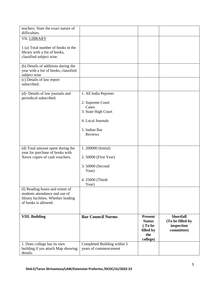| teachers. State the exact nature of                                   |                              |                  |                  |
|-----------------------------------------------------------------------|------------------------------|------------------|------------------|
| difficulties.<br>VII. LIBRARY                                         |                              |                  |                  |
|                                                                       |                              |                  |                  |
| 1 (a) Total number of books in the                                    |                              |                  |                  |
| library with a list of books,<br>classified subject wise.             |                              |                  |                  |
|                                                                       |                              |                  |                  |
| (b) Details of additions during the                                   |                              |                  |                  |
| year with a list of books, classified<br>subject wise.                |                              |                  |                  |
| (c) Details of law report                                             |                              |                  |                  |
| subscribed.                                                           |                              |                  |                  |
| (d) Details of law journals and                                       | 1. All India Peporter        |                  |                  |
| periodical subscribed.                                                |                              |                  |                  |
|                                                                       | 2. Supreme Court             |                  |                  |
|                                                                       | Cases<br>3. State High Court |                  |                  |
|                                                                       |                              |                  |                  |
|                                                                       | 4. Local Journals            |                  |                  |
|                                                                       | 5. Indian Bar                |                  |                  |
|                                                                       | Reviews                      |                  |                  |
|                                                                       |                              |                  |                  |
| (d) Total amount spent during the                                     | 1. 200000 (Initial)          |                  |                  |
| year for purchase of books with                                       |                              |                  |                  |
| Xerox copies of cash vouchers.                                        | 2. 50000 (First Year)        |                  |                  |
|                                                                       | 3.50000 (Second              |                  |                  |
|                                                                       | Year)                        |                  |                  |
|                                                                       | 4. 25000 (Thirdt             |                  |                  |
|                                                                       | Year)                        |                  |                  |
| (f) Reading hours and extent of                                       |                              |                  |                  |
| students attendance and use of<br>library facilities. Whether leading |                              |                  |                  |
| of books is allowed.                                                  |                              |                  |                  |
|                                                                       |                              |                  |                  |
| <b>VIII. Building</b>                                                 | <b>Bar Council Norms</b>     | <b>Present</b>   | <b>Shortfall</b> |
|                                                                       |                              | <b>Status</b>    | (To be filled by |
|                                                                       |                              | (To be           | inspection       |
|                                                                       |                              | filled by<br>the | committee)       |
|                                                                       |                              | college)         |                  |
| 1. Does college has its own                                           | Completed Building within 5  |                  |                  |
| building if yes attach Map showing<br>details.                        | years of commencement        |                  |                  |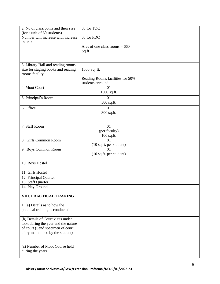| 2. No of classrooms and their size                                   | 03 for TDC                       |  |
|----------------------------------------------------------------------|----------------------------------|--|
| (for a unit of 60 students)                                          |                                  |  |
| Number will increase with increase                                   | 05 for FDC                       |  |
| in unit                                                              | Area of one class rooms $= 660$  |  |
|                                                                      | Sq.ft                            |  |
|                                                                      |                                  |  |
|                                                                      |                                  |  |
| 3. Library Hall and reading rooms                                    |                                  |  |
| size for staging books and reading<br>rooms facility                 | 1000 Sq. ft.                     |  |
|                                                                      | Reading Rooms facilities for 50% |  |
|                                                                      | students enrolled                |  |
| 4. Moot Court                                                        | 01                               |  |
|                                                                      | 1500 sq.ft.                      |  |
| 5. Principal's Room                                                  | 01                               |  |
|                                                                      | 500 sq.ft.                       |  |
| 6. Office                                                            | 01                               |  |
|                                                                      | 300 sq.ft.                       |  |
|                                                                      |                                  |  |
| 7. Staff Room                                                        | 01                               |  |
|                                                                      | (per faculty)                    |  |
| 8. Girls Common Room                                                 | 100 sq.ft.<br>01                 |  |
|                                                                      | (10 sq.ft. per student)          |  |
| 9. Boys Common Room                                                  | 01                               |  |
|                                                                      | $(10$ sq.ft. per student)        |  |
|                                                                      |                                  |  |
| 10. Boys Hostel                                                      |                                  |  |
| 11. Girls Hostel                                                     |                                  |  |
| 12. Principal Quarter                                                |                                  |  |
| 13. Staff Quarter                                                    |                                  |  |
| 14. Play Ground                                                      |                                  |  |
|                                                                      |                                  |  |
| VIII. PRACTICAL TRANING                                              |                                  |  |
| 1. (a) Details as to how the                                         |                                  |  |
| practical training is conducted.                                     |                                  |  |
|                                                                      |                                  |  |
| (b) Details of Court visits under                                    |                                  |  |
| took during the year and the nature                                  |                                  |  |
| of court (Send specimen of court<br>diary maintained by the student) |                                  |  |
|                                                                      |                                  |  |
|                                                                      |                                  |  |
| (c) Number of Moot Course held                                       |                                  |  |
| during the years.                                                    |                                  |  |
|                                                                      |                                  |  |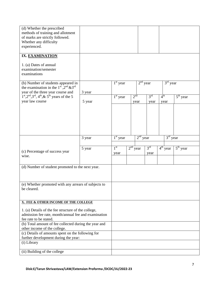| (d) Whether the prescribed<br>methods of training and allotment<br>of marks are strictly followed.<br>Whether any difficulty<br>experienced.     |        |                         |                 |            |                         |                 |            |
|--------------------------------------------------------------------------------------------------------------------------------------------------|--------|-------------------------|-----------------|------------|-------------------------|-----------------|------------|
| IX. EXAMINATION                                                                                                                                  |        |                         |                 |            |                         |                 |            |
| 1. (a) Dates of annual<br>examination/semester<br>examinations                                                                                   |        |                         |                 |            |                         |                 |            |
| (b) Number of students appeared in<br>the examination in the 1 <sup>sf</sup> , $2^{nd}$ & 3 <sup>rd</sup>                                        |        | $1st$ year              |                 | $2nd$ year |                         | $3rd$ year      |            |
| year of the three year course and<br>$1^{\text{st}}$ , $2^{\text{nd}}$ , $3^{\text{rd}}$ , $4^{\text{th}}$ , $\&$ $5^{\text{th}}$ years of the 5 | 3 year | $1st$ year              | 2 <sup>nd</sup> |            | 3 <sup>rd</sup>         | 4 <sup>th</sup> | $5th$ year |
| year law course                                                                                                                                  | 5 year |                         | year            |            | year                    | year            |            |
|                                                                                                                                                  |        |                         |                 |            |                         |                 |            |
|                                                                                                                                                  | 3 year | $1st$ year              |                 | $2nd$ year |                         |                 | $3rd$ year |
| (c) Percentage of success year<br>wise.                                                                                                          | 5 year | 1 <sup>st</sup><br>year | $2nd$ year      |            | 3 <sup>rd</sup><br>year | $4th$ year      | $5th$ year |
| (d) Number of student promoted to the next year.                                                                                                 |        |                         |                 |            |                         |                 |            |
|                                                                                                                                                  |        |                         |                 |            |                         |                 |            |
| (e) Whether promoted with any arrears of subjects to<br>be cleared.                                                                              |        |                         |                 |            |                         |                 |            |
| X. FEE & OTHER INCOME OF THE COLLEGE                                                                                                             |        |                         |                 |            |                         |                 |            |
| 1. (a) Details of the fee structure of the college,<br>admission fee rate, month/annual fee and examination<br>fee rate to be stated.            |        |                         |                 |            |                         |                 |            |
| (b) Total amount of fee collected during the year and<br>other income of the college.                                                            |        |                         |                 |            |                         |                 |            |
| (c) Details of amounts spent on the following for                                                                                                |        |                         |                 |            |                         |                 |            |
| further development during the year:                                                                                                             |        |                         |                 |            |                         |                 |            |
| (i) Library                                                                                                                                      |        |                         |                 |            |                         |                 |            |
| (ii) Building of the college                                                                                                                     |        |                         |                 |            |                         |                 |            |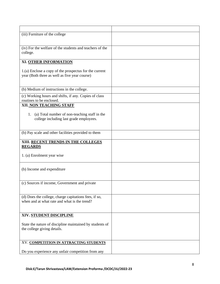| (iii) Furniture of the college                                                                          |  |
|---------------------------------------------------------------------------------------------------------|--|
| (iv) For the welfare of the students and teachers of the<br>college.                                    |  |
| XI. OTHER INFORMATION                                                                                   |  |
| 1.(a) Enclose a copy of the prospectus for the current<br>year (Both three as well as five year course) |  |
| (b) Medium of instructions in the college.                                                              |  |
| (c) Working hours and shifts, if any. Copies of class<br>routines to be enclosed.                       |  |
| XII. NON TEACHING STAFF                                                                                 |  |
| (a) Total number of non-teaching staff in the<br>1.<br>college including last grade employees.          |  |
| (b) Pay scale and other facilities provided to them                                                     |  |
| XIII. RECENT TRENDS IN THE COLLEGES<br><b>REGARDS</b>                                                   |  |
| 1. (a) Enrolment year wise                                                                              |  |
| (b) Income and expenditure                                                                              |  |
| (c) Sources if income, Government and private                                                           |  |
| (d) Does the college, charge capitations fees, if so,<br>when and at what rate and what is the trend?   |  |
| XIV. STUDENT DISCIPLINE                                                                                 |  |
| State the nature of discipline maintained by students of<br>the college giving details.                 |  |
| XV. COMPETITION IN ATTRACTING STUDENTS                                                                  |  |
| Do you experience any unfair competition from any                                                       |  |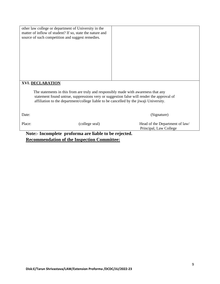|        | other law college or department of University in the<br>matter of inflow of student? If so, state the nature and<br>source of such competition and suggest remedies.                                                                                                      |                                                          |  |  |  |  |  |
|--------|---------------------------------------------------------------------------------------------------------------------------------------------------------------------------------------------------------------------------------------------------------------------------|----------------------------------------------------------|--|--|--|--|--|
|        |                                                                                                                                                                                                                                                                           |                                                          |  |  |  |  |  |
|        | <b>XVI. DECLARATION</b>                                                                                                                                                                                                                                                   |                                                          |  |  |  |  |  |
|        | The statements in this from are truly and responsibly made with awareness that any<br>statement found untrue, suppressions very or suggestion false will render the approval of<br>affiliation to the department/college liable to be cancelled by the jiwaji University. |                                                          |  |  |  |  |  |
| Date:  |                                                                                                                                                                                                                                                                           | (Signature)                                              |  |  |  |  |  |
| Place: | (college seal)                                                                                                                                                                                                                                                            | Head of the Department of law/<br>Principal, Law College |  |  |  |  |  |

**Note:- Incomplete proforma are liable to be rejected. Recommendation of the Inspection Committee:**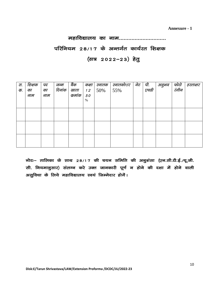**Annexure - 1**

#### महाविद्यालय का नाम..............................

## परिनियम 28/17 के अन्तर्गत कार्यरत शिक्षक

### (सत्र 2022-23) हेतु

| स.<br>क. | शिक्षक<br>का | पद<br>का | जन्म<br>दिनांक | बैंक<br>खाता | कक्षा<br>12 | स्नातक<br>50% | स्नातकोत्तर<br>55% | नेट | पी.<br>एचडी | अनुभव | फोटो<br>रंगीन | हस्ताक्षर |
|----------|--------------|----------|----------------|--------------|-------------|---------------|--------------------|-----|-------------|-------|---------------|-----------|
|          | नाम          | नाम      |                | कुमांक       | 50          |               |                    |     |             |       |               |           |
|          |              |          |                |              | $\%$        |               |                    |     |             |       |               |           |
|          |              |          |                |              |             |               |                    |     |             |       |               |           |
|          |              |          |                |              |             |               |                    |     |             |       |               |           |
|          |              |          |                |              |             |               |                    |     |             |       |               |           |
|          |              |          |                |              |             |               |                    |     |             |       |               |           |
|          |              |          |                |              |             |               |                    |     |             |       |               |           |
|          |              |          |                |              |             |               |                    |     |             |       |               |           |
|          |              |          |                |              |             |               |                    |     |             |       |               |           |

नोटः– तालिका के साथ 28/17 की चयन समिति की अनुशंसा (एन.सी.टी.ई./यू.जी. सी. नियमानुसार) संलग्न करे उक्त जानकारी पूर्ण न होने की दशा में होने वाली असुविधा के लिये महाविद्यालय स्वयं जिम्मेदार होगें।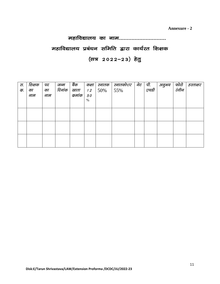**Annexure - 2**

#### महाविद्यालय का नाम...............................

#### महाविद्यालय प्रबंधन समिति द्वारा कार्यरत शिक्षक

#### (सत्र 2022-23) हेतु

| स.<br>क. | शिक्षक<br>का<br>नाम | पद<br>का<br>नाम | जन्म<br>दिनांक | बैंक<br>खाता<br>कुमांक | कक्षा<br>12<br>50<br>% | स्नातक<br>50% | स्नातकोत्तर<br>55% | नेट | पी.<br>एचडी | अनुभव | फोटो<br>रंगीन | हस्ताक्षर |
|----------|---------------------|-----------------|----------------|------------------------|------------------------|---------------|--------------------|-----|-------------|-------|---------------|-----------|
|          |                     |                 |                |                        |                        |               |                    |     |             |       |               |           |
|          |                     |                 |                |                        |                        |               |                    |     |             |       |               |           |
|          |                     |                 |                |                        |                        |               |                    |     |             |       |               |           |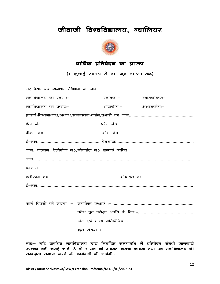## जीवाजी विश्वविद्यालय, ग्वालियर



#### वार्षिक प्रतिवेदन का प्रारूप

(1 जुलाई 2019 से 30 जून 2020 तक)

| महाविद्यालय का स्तर :–                           | स्नातक :–          | स्नातकोत्तरः– |
|--------------------------------------------------|--------------------|---------------|
| महाविद्यालय का प्रकारः–                          | शासकीयः– अशासकीयः– |               |
|                                                  |                    |               |
|                                                  |                    |               |
|                                                  |                    |               |
|                                                  |                    |               |
| नाम, पदनाम, टेलीफोन न0/मोबाईल न0 सम्पर्क व्यक्ति |                    |               |
|                                                  |                    |               |
|                                                  |                    |               |
|                                                  |                    |               |
|                                                  |                    |               |

नोटः– यदि संबंधित महाविद्यालय द्वारा निर्धारित समयावधि में प्रतिवेदन संबंधी जानकारी उपलब्ध नहीं कराई जाती है तो शासन को अवगत कराया जावेगा तथा उन महाविद्यालय की सम्बद्धता समाप्त करने की कार्यवाही की जावेगी।